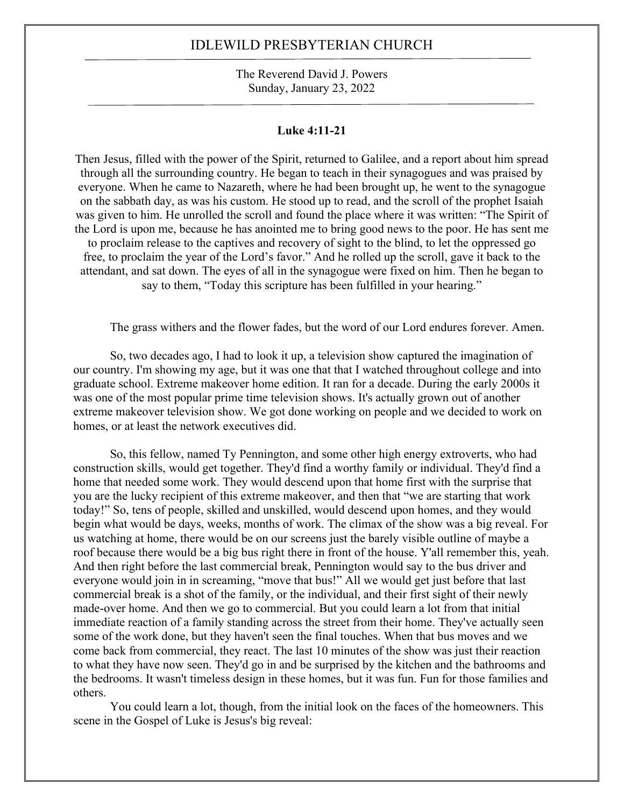## IDLEWILD PRESBYTERIAN CHURCH

The Reverend David J. Powers Sunday, January 23, 2022

## **Luke 4:11-21**

Then Jesus, filled with the power of the Spirit, returned to Galilee, and a report about him spread through all the surrounding country. He began to teach in their synagogues and was praised by everyone. When he came to Nazareth, where he had been brought up, he went to the synagogue on the sabbath day, as was his custom. He stood up to read, and the scroll of the prophet Isaiah was given to him. He unrolled the scroll and found the place where it was written: "The Spirit of the Lord is upon me, because he has anointed me to bring good news to the poor. He has sent me to proclaim release to the captives and recovery of sight to the blind, to let the oppressed go free, to proclaim the year of the Lord's favor." And he rolled up the scroll, gave it back to the attendant, and sat down. The eyes of all in the synagogue were fixed on him. Then he began to say to them, "Today this scripture has been fulfilled in your hearing."

The grass withers and the flower fades, but the word of our Lord endures forever. Amen.

So, two decades ago, I had to look it up, a television show captured the imagination of our country. I'm showing my age, but it was one that that I watched throughout college and into graduate school. Extreme makeover home edition. It ran for a decade. During the early 2000s it was one of the most popular prime time television shows. It's actually grown out of another extreme makeover television show. We got done working on people and we decided to work on homes, or at least the network executives did.

So, this fellow, named Ty Pennington, and some other high energy extroverts, who had construction skills, would get together. They'd find a worthy family or individual. They'd find a home that needed some work. They would descend upon that home first with the surprise that you are the lucky recipient of this extreme makeover, and then that "we are starting that work today!" So, tens of people, skilled and unskilled, would descend upon homes, and they would begin what would be days, weeks, months of work. The climax of the show was a big reveal. For us watching at home, there would be on our screens just the barely visible outline of maybe a roof because there would be a big bus right there in front of the house. Y'all remember this, yeah. And then right before the last commercial break, Pennington would say to the bus driver and everyone would join in in screaming, "move that bus!" All we would get just before that last commercial break is a shot of the family, or the individual, and their first sight of their newly made-over home. And then we go to commercial. But you could learn a lot from that initial immediate reaction of a family standing across the street from their home. They've actually seen some of the work done, but they haven't seen the final touches. When that bus moves and we come back from commercial, they react. The last 10 minutes of the show was just their reaction to what they have now seen. They'd go in and be surprised by the kitchen and the bathrooms and the bedrooms. It wasn't timeless design in these homes, but it was fun. Fun for those families and others.

You could learn a lot, though, from the initial look on the faces of the homeowners. This scene in the Gospel of Luke is Jesus's big reveal: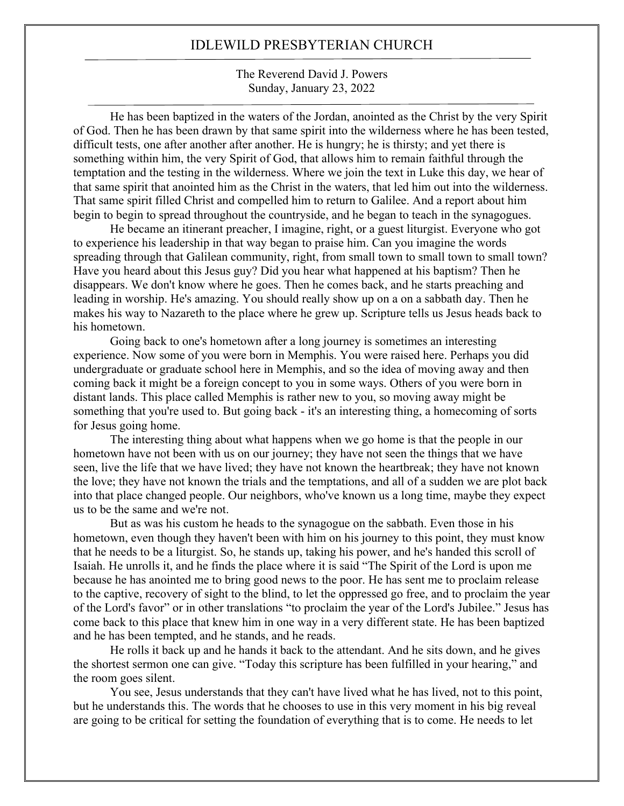## IDLEWILD PRESBYTERIAN CHURCH

The Reverend David J. Powers Sunday, January 23, 2022

He has been baptized in the waters of the Jordan, anointed as the Christ by the very Spirit of God. Then he has been drawn by that same spirit into the wilderness where he has been tested, difficult tests, one after another after another. He is hungry; he is thirsty; and yet there is something within him, the very Spirit of God, that allows him to remain faithful through the temptation and the testing in the wilderness. Where we join the text in Luke this day, we hear of that same spirit that anointed him as the Christ in the waters, that led him out into the wilderness. That same spirit filled Christ and compelled him to return to Galilee. And a report about him begin to begin to spread throughout the countryside, and he began to teach in the synagogues.

He became an itinerant preacher, I imagine, right, or a guest liturgist. Everyone who got to experience his leadership in that way began to praise him. Can you imagine the words spreading through that Galilean community, right, from small town to small town to small town? Have you heard about this Jesus guy? Did you hear what happened at his baptism? Then he disappears. We don't know where he goes. Then he comes back, and he starts preaching and leading in worship. He's amazing. You should really show up on a on a sabbath day. Then he makes his way to Nazareth to the place where he grew up. Scripture tells us Jesus heads back to his hometown.

Going back to one's hometown after a long journey is sometimes an interesting experience. Now some of you were born in Memphis. You were raised here. Perhaps you did undergraduate or graduate school here in Memphis, and so the idea of moving away and then coming back it might be a foreign concept to you in some ways. Others of you were born in distant lands. This place called Memphis is rather new to you, so moving away might be something that you're used to. But going back - it's an interesting thing, a homecoming of sorts for Jesus going home.

The interesting thing about what happens when we go home is that the people in our hometown have not been with us on our journey; they have not seen the things that we have seen, live the life that we have lived; they have not known the heartbreak; they have not known the love; they have not known the trials and the temptations, and all of a sudden we are plot back into that place changed people. Our neighbors, who've known us a long time, maybe they expect us to be the same and we're not.

But as was his custom he heads to the synagogue on the sabbath. Even those in his hometown, even though they haven't been with him on his journey to this point, they must know that he needs to be a liturgist. So, he stands up, taking his power, and he's handed this scroll of Isaiah. He unrolls it, and he finds the place where it is said "The Spirit of the Lord is upon me because he has anointed me to bring good news to the poor. He has sent me to proclaim release to the captive, recovery of sight to the blind, to let the oppressed go free, and to proclaim the year of the Lord's favor" or in other translations "to proclaim the year of the Lord's Jubilee." Jesus has come back to this place that knew him in one way in a very different state. He has been baptized and he has been tempted, and he stands, and he reads.

He rolls it back up and he hands it back to the attendant. And he sits down, and he gives the shortest sermon one can give. "Today this scripture has been fulfilled in your hearing," and the room goes silent.

You see, Jesus understands that they can't have lived what he has lived, not to this point, but he understands this. The words that he chooses to use in this very moment in his big reveal are going to be critical for setting the foundation of everything that is to come. He needs to let